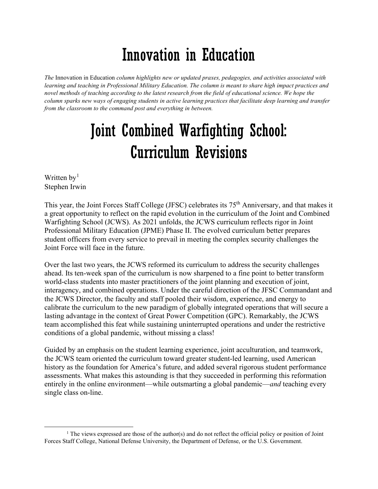## Innovation in Education

*The* Innovation in Education *column highlights new or updated praxes, pedagogies, and activities associated with learning and teaching in Professional Military Education. The column is meant to share high impact practices and novel methods of teaching according to the latest research from the field of educational science. We hope the column sparks new ways of engaging students in active learning practices that facilitate deep learning and transfer from the classroom to the command post and everything in between.*

## Joint Combined Warfighting School: Curriculum Revisions

Written  $by<sup>1</sup>$  $by<sup>1</sup>$  $by<sup>1</sup>$ Stephen Irwin

This year, the Joint Forces Staff College (JFSC) celebrates its 75<sup>th</sup> Anniversary, and that makes it a great opportunity to reflect on the rapid evolution in the curriculum of the Joint and Combined Warfighting School (JCWS). As 2021 unfolds, the JCWS curriculum reflects rigor in Joint Professional Military Education (JPME) Phase II. The evolved curriculum better prepares student officers from every service to prevail in meeting the complex security challenges the Joint Force will face in the future.

Over the last two years, the JCWS reformed its curriculum to address the security challenges ahead. Its ten-week span of the curriculum is now sharpened to a fine point to better transform world-class students into master practitioners of the joint planning and execution of joint, interagency, and combined operations. Under the careful direction of the JFSC Commandant and the JCWS Director, the faculty and staff pooled their wisdom, experience, and energy to calibrate the curriculum to the new paradigm of globally integrated operations that will secure a lasting advantage in the context of Great Power Competition (GPC). Remarkably, the JCWS team accomplished this feat while sustaining uninterrupted operations and under the restrictive conditions of a global pandemic, without missing a class!

Guided by an emphasis on the student learning experience, joint acculturation, and teamwork, the JCWS team oriented the curriculum toward greater student-led learning, used American history as the foundation for America's future, and added several rigorous student performance assessments. What makes this astounding is that they succeeded in performing this reformation entirely in the online environment—while outsmarting a global pandemic—*and* teaching every single class on-line.

<span id="page-0-0"></span> $1$  The views expressed are those of the author(s) and do not reflect the official policy or position of Joint Forces Staff College, National Defense University, the Department of Defense, or the U.S. Government.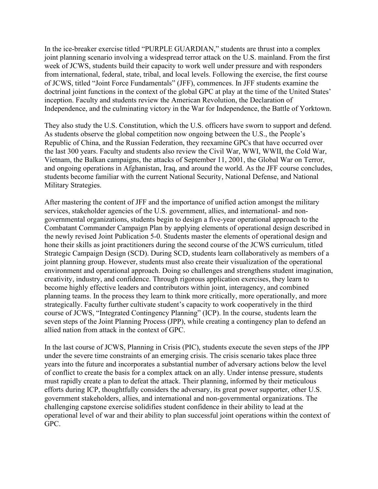In the ice-breaker exercise titled "PURPLE GUARDIAN," students are thrust into a complex joint planning scenario involving a widespread terror attack on the U.S. mainland. From the first week of JCWS, students build their capacity to work well under pressure and with responders from international, federal, state, tribal, and local levels. Following the exercise, the first course of JCWS, titled "Joint Force Fundamentals" (JFF), commences. In JFF students examine the doctrinal joint functions in the context of the global GPC at play at the time of the United States' inception. Faculty and students review the American Revolution, the Declaration of Independence, and the culminating victory in the War for Independence, the Battle of Yorktown.

They also study the U.S. Constitution, which the U.S. officers have sworn to support and defend. As students observe the global competition now ongoing between the U.S., the People's Republic of China, and the Russian Federation, they reexamine GPCs that have occurred over the last 300 years. Faculty and students also review the Civil War, WWI, WWII, the Cold War, Vietnam, the Balkan campaigns, the attacks of September 11, 2001, the Global War on Terror, and ongoing operations in Afghanistan, Iraq, and around the world. As the JFF course concludes, students become familiar with the current National Security, National Defense, and National Military Strategies.

After mastering the content of JFF and the importance of unified action amongst the military services, stakeholder agencies of the U.S. government, allies, and international- and nongovernmental organizations, students begin to design a five-year operational approach to the Combatant Commander Campaign Plan by applying elements of operational design described in the newly revised Joint Publication 5-0. Students master the elements of operational design and hone their skills as joint practitioners during the second course of the JCWS curriculum, titled Strategic Campaign Design (SCD). During SCD, students learn collaboratively as members of a joint planning group. However, students must also create their visualization of the operational environment and operational approach. Doing so challenges and strengthens student imagination, creativity, industry, and confidence. Through rigorous application exercises, they learn to become highly effective leaders and contributors within joint, interagency, and combined planning teams. In the process they learn to think more critically, more operationally, and more strategically. Faculty further cultivate student's capacity to work cooperatively in the third course of JCWS, "Integrated Contingency Planning" (ICP). In the course, students learn the seven steps of the Joint Planning Process (JPP), while creating a contingency plan to defend an allied nation from attack in the context of GPC.

In the last course of JCWS, Planning in Crisis (PIC), students execute the seven steps of the JPP under the severe time constraints of an emerging crisis. The crisis scenario takes place three years into the future and incorporates a substantial number of adversary actions below the level of conflict to create the basis for a complex attack on an ally. Under intense pressure, students must rapidly create a plan to defeat the attack. Their planning, informed by their meticulous efforts during ICP, thoughtfully considers the adversary, its great power supporter, other U.S. government stakeholders, allies, and international and non-governmental organizations. The challenging capstone exercise solidifies student confidence in their ability to lead at the operational level of war and their ability to plan successful joint operations within the context of GPC.